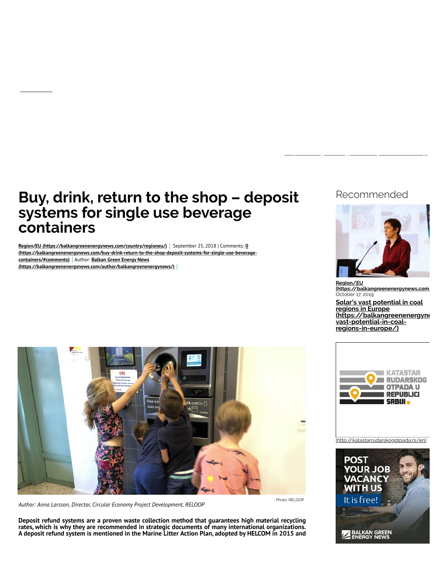# **Buy, drink, return to the shop – deposit systems for single use beverage containers**

[Region/EU \(https://balkangreenenergynews.com/country/regioneu/\)](https://balkangreenenergynews.com/country/regioneu/) September 25, 2018 | Comments: 0 **[\(https://balkangreenenergynews.com/buy-drink-return-to-the-shop-deposit-systems-for-single-use-beverage](#page-3-0)containers/#comments)** Author: **Balkan Green Energy News [\(https://balkangreenenergynews.com/author/balkangreenenergynews/\)](https://balkangreenenergynews.com/author/balkangreenenergynews/)**

# Recommended



**Region/EU (https://balkangreenenergynews.com.** October 17, 2019

**Solar's vast potential in coal regions in Europe [\(https://balkangreenenergyne](https://balkangreenenergynews.com/solars-vast-potential-in-coal-regions-in-europe/)ws.com/solarsvast-potential-in-coalregions-in-europe/)**



*Author: Anna Larsson, Director, Circular Economy Project Development, RELOOP*

**Deposit refund systems are a proven waste collection method that guarantees high material recycling rates, which is why they are recommended in strategic documents of many international organizations. A deposit refund system is mentioned in the Marine Litter Action Plan, adopted by HELCOM in 2015 and**



[\(http://katastarrudarskogotpada.rs/en\)](http://katastarrudarskogotpada.rs/en)

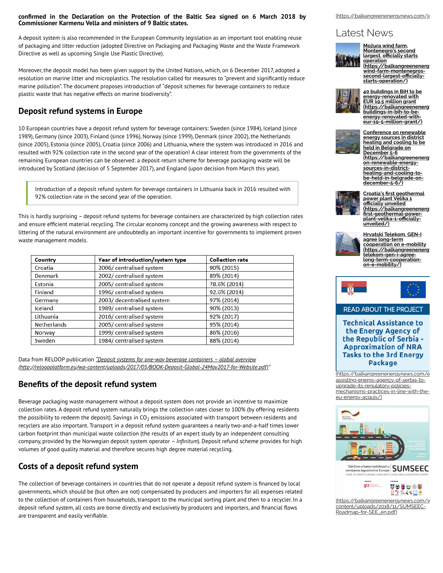#### **confirmed in the Declaration on the Protection of the Baltic Sea signed on 6 March 2018 by Commissioner Karmenu Vella and ministers of 9 Baltic states.**

A deposit system is also recommended in the European Community legislation as an important tool enabling reuse of packaging and litter reduction (adopted Directive on Packaging and Packaging Waste and the Waste Framework Directive as well as upcoming Single Use Plastic Directive).

Moreover, the deposit model has been given support by the United Nations, which, on 6 December 2017, adopted a resolution on marine litter and microplastics. The resolution called for measures to "prevent and significantly reduce marine pollution". The document proposes introduction of "deposit schemes for beverage containers to reduce plastic waste that has negative effects on marine biodiversity".

### **Deposit refund systems in Europe**

10 European countries have a deposit refund system for beverage containers: Sweden (since 1984), Iceland (since 1989), Germany (since 2003), Finland (since 1996), Norway (since 1999), Denmark (since 2002), the Netherlands (since 2005), Estonia (since 2005), Croatia (since 2006) and Lithuania, where the system was introduced in 2016 and resulted with 92% collection rate in the second year of the operation! A clear interest from the governments of the remaining European countries can be observed: a deposit return scheme for beverage packaging waste will be introduced by Scotland (decision of 5 September 2017), and England (upon decision from March this year).

Introduction of a deposit refund system for beverage containers in Lithuania back in 2016 resulted with 92% collection rate in the second year of the operation.

This is hardly surprising – deposit refund systems for beverage containers are characterized by high collection rates and ensure efficient material recycling. The circular economy concept and the growing awareness with respect to littering of the natural environment are undoubtedly an important incentive for governments to implement proven waste management models.

| Country     | Year of introduction/system type | <b>Collection rate</b> |  |
|-------------|----------------------------------|------------------------|--|
| Croatia     | 2006/ centralised system         | 90% (2015)             |  |
| Denmark     | 2002/centralised system          | 89% (2014)             |  |
| Estonia     | 2005/centralised system          | 78.6% (2014)           |  |
| Finland     | 1996/centralised system          | 92.6% (2014)           |  |
| Germany     | 2003/ decentralised system       | 97% (2014)             |  |
| Iceland     | 1989/centralised system          | 90% (2013)             |  |
| Lithuania   | 2016/centralised system          | 92% (2017)             |  |
| Netherlands | 2005/centralised system          | 95% (2014)             |  |
| Norway      | 1999/ centralised system         | 86% (2016)             |  |
| Sweden      | 1984/ centralised system         | 88% (2014)             |  |

Data from RELOOP publication *"Deposit systems for one-way beverage containers – global overview [\(http://reloopplatform.eu/wp-content/uploads/2017/05/BOOK-Deposit-Global-24May2017-for-Website.pdf\)](http://reloopplatform.eu/wp-content/uploads/2017/05/BOOK-Deposit-Global-24May2017-for-Website.pdf)"*

## **Benefits of the deposit refund system**

Beverage packaging waste management without a deposit system does not provide an incentive to maximize collection rates. A deposit refund system naturally brings the collection rates closer to 100% (by offering residents the possibility to redeem the deposit). Savings in CO $_2$  emissions associated with transport between residents and recyclers are also important. Transport in a deposit refund system guarantees a nearly two-and-a-half times lower carbon footprint than municipal waste collection (the results of an expert study by an independent consulting company, provided by the Norwegian deposit system operator – *Infinitum*). Deposit refund scheme provides for high volumes of good quality material and therefore secures high degree material recycling.

#### **Costs of a deposit refund system**

The collection of beverage containers in countries that do not operate a deposit refund system is financed by local governments, which should be (but often are not) compensated by producers and importers for all expenses related to the collection of containers from households, transport to the municipal sorting plant and then to a recycler. In a deposit refund system, all costs are borne directly and exclusively by producers and importers, and financial flows are transparent and easily verifiable.

[\(https://balkangreenenergynews.com/jo](https://balkangreenenergynews.com/jobs/)

# Latest News



**Možura wind farm, Montenegro's second largest, o!cially starts operation [\(https://balkangreenenergy](https://balkangreenenergynews.com/mozura-wind-farm-montenegros-second-largest-officially-starts-operation/)news.com/mozurawind-farm-montenegros-second-largest-o!cially-**

**starts-operation/)**



**40 buildings in BiH to be energy-renovated with EUR 19.5 million grant [\(https://balkangreenenergy](https://balkangreenenergynews.com/40-buildings-in-bih-to-be-energy-renovated-with-eur-19-5-million-grant/)news.com/40- buildings-in-bih-to-beenergy-renovated-witheur-19-5-million-grant/)**



**Conference on renewable energy sources in district heating and cooling to be held in Belgrade on** December 5-6<br><u>(https://balkangreenenerg</u> **on-renewable-energysources-in-districtheating-and-cooling-to-be-held-in-belgrade-on-**



**Croatia's "rst geothermal power plant Velika 1 o!cially unveiled [\(https://balkangreenenergy](https://balkangreenenergynews.com/croatias-first-geothermal-power-plant-velika-1-officially-unveiled/)news.com/croatias- "rst-geothermal-powerplant-velika-1-o!ciallyunveiled/)**



**Hrvatski Telekom, GEN-I agree long-term cooperation on e-mobility [\(https://balkangreenenergy](https://balkangreenenergynews.com/hrvatski-telekom-gen-i-agree-long-term-cooperation-on-e-mobility/)news.com/hrvatskitelekom-gen-i-agreelong-term-cooperation-on-e-mobility/)**



#### READ ABOUT THE PROJECT

**Technical Assistance to** the Energy Agency of the Republic of Serbia -**Approximation of NRA Tasks to the 3rd Energy** Package

[\(https://balkangreenenergynews.com/e](https://balkangreenenergynews.com/eu-assisting-energy-agency-of-serbia-to-upgrade-its-regulatory-policies-mechanisms-practices-in-line-with-the-eu-energy-acquis/) assisting-energy-agency-of-serbia-toupgrade-its-regulatory-policiesmechanisms-practices-in-line-with-theeu-energy-acquis/)



Ddrživa urbana mobilnost u SUMSEEC VODIČ ZA ODRŽIVU



(https://balkangreenenergynews.com/v content/uploads/2018/11/SUMSEEC-Roadmap-for-SEE\_en.pdf)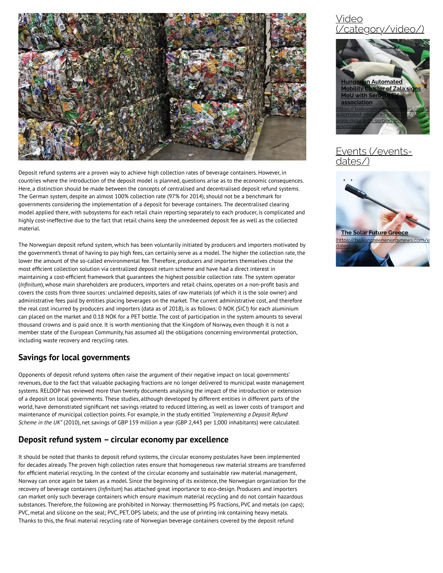

Deposit refund systems are a proven way to achieve high collection rates of beverage containers. However, in countries where the introduction of the deposit model is planned, questions arise as to the economic consequences. Here, a distinction should be made between the concepts of centralised and decentralised deposit refund systems. The German system, despite an almost 100% collection rate (97% for 2014), should not be a benchmark for governments considering the implementation of a deposit for beverage containers. The decentralised clearing model applied there, with subsystems for each retail chain reporting separately to each producer, is complicated and highly cost-ineffective due to the fact that retail chains keep the unredeemed deposit fee as well as the collected material.

The Norwegian deposit refund system, which has been voluntarily initiated by producers and importers motivated by the government's threat of having to pay high fees, can certainly serve as a model. The higher the collection rate, the lower the amount of the so-called environmental fee. Therefore, producers and importers themselves chose the most efficient collection solution via centralized deposit return scheme and have had a direct interest in maintaining a cost-efficient framework that guarantees the highest possible collection rate. The system operator (*Infinitum*), whose main shareholders are producers, importers and retail chains, operates on a non-profit basis and covers the costs from three sources: unclaimed deposits, sales of raw materials (of which it is the sole owner) and administrative fees paid by entities placing beverages on the market. The current administrative cost, and therefore the real cost incurred by producers and importers (data as of 2018), is as follows: 0 NOK (SIC!) for each aluminium can placed on the market and 0.18 NOK for a PET bottle. The cost of participation in the system amounts to several thousand crowns and is paid once. It is worth mentioning that the Kingdom of Norway, even though it is not a member state of the European Community, has assumed all the obligations concerning environmental protection, including waste recovery and recycling rates.

#### **Savings for local governments**

Opponents of deposit refund systems often raise the argument of their negative impact on local governments' revenues, due to the fact that valuable packaging fractions are no longer delivered to municipal waste management systems. RELOOP has reviewed more than twenty documents analysing the impact of the introduction or extension of a deposit on local governments. These studies, although developed by different entities in different parts of the world, have demonstrated significant net savings related to reduced littering, as well as lower costs of transport and maintenance of municipal collection points. For example, in the study entitled *"Implementing a Deposit Refund Scheme in the UK"* (2010), net savings of GBP 159 million a year (GBP 2,443 per 1,000 inhabitants) were calculated.

## **Deposit refund system – circular economy par excellence**

It should be noted that thanks to deposit refund systems, the circular economy postulates have been implemented for decades already. The proven high collection rates ensure that homogeneous raw material streams are transferred for efficient material recycling. In the context of the circular economy and sustainable raw material management, Norway can once again be taken as a model. Since the beginning of its existence, the Norwegian organization for the recovery of beverage containers (*Infinitum*) has attached great importance to eco-design. Producers and importers can market only such beverage containers which ensure maximum material recycling and do not contain hazardous substances. Therefore, the following are prohibited in Norway: thermosetting PS fractions, PVC and metals (on caps); PVC, metal and silicone on the seal; PVC, PET, OPS labels; and the use of printing ink containing heavy metals. Thanks to this, the final material recycling rate of Norwegian beverage containers covered by the deposit refund

# Video [\(/category/video/\)](https://balkangreenenergynews.com/category/video/)



# vents (/eventsdates/)